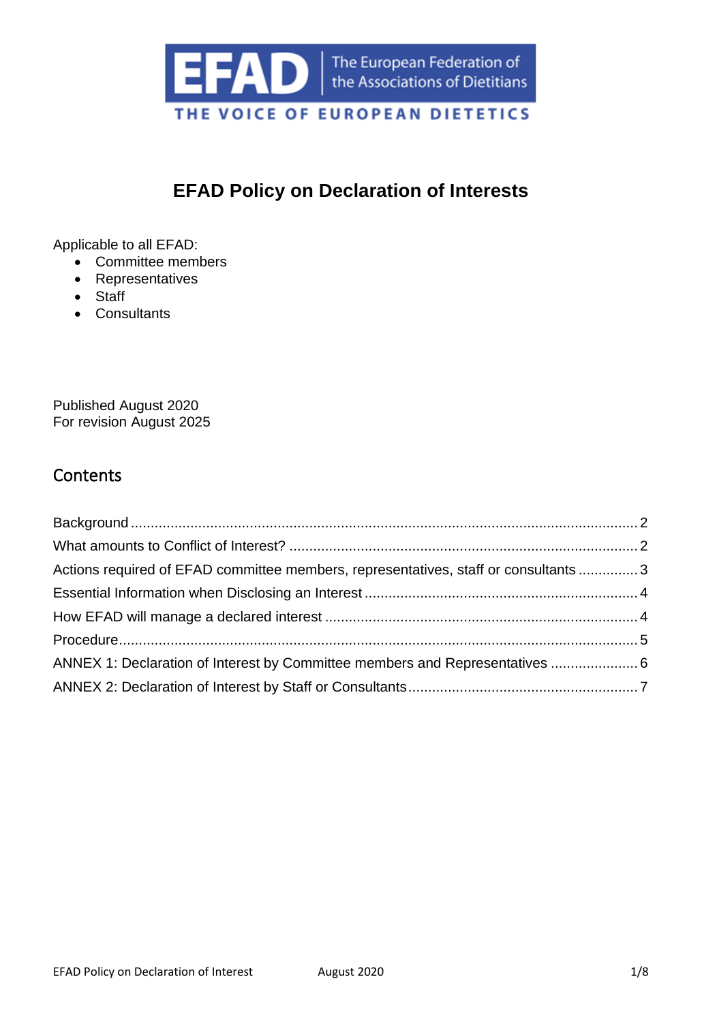

# **EFAD Policy on Declaration of Interests**

Applicable to all EFAD:

- Committee members
- Representatives
- Staff
- Consultants

Published August 2020 For revision August 2025

### **Contents**

| Actions required of EFAD committee members, representatives, staff or consultants  3 |  |
|--------------------------------------------------------------------------------------|--|
|                                                                                      |  |
|                                                                                      |  |
|                                                                                      |  |
| ANNEX 1: Declaration of Interest by Committee members and Representatives  6         |  |
|                                                                                      |  |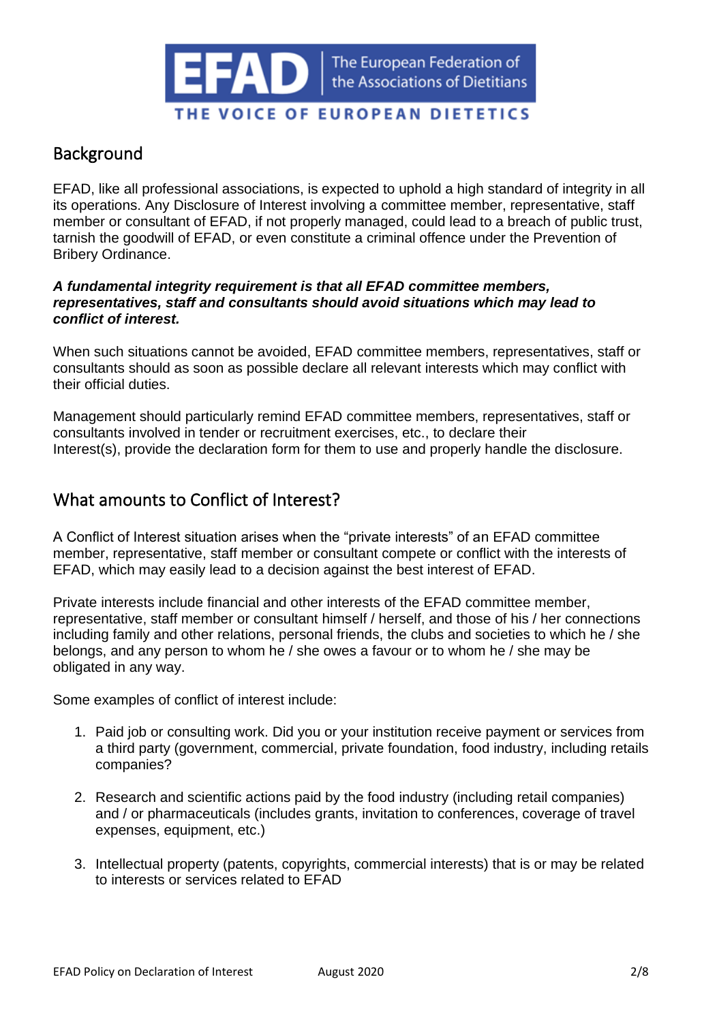

### <span id="page-1-0"></span>Background

EFAD, like all professional associations, is expected to uphold a high standard of integrity in all its operations. Any Disclosure of Interest involving a committee member, representative, staff member or consultant of EFAD, if not properly managed, could lead to a breach of public trust, tarnish the goodwill of EFAD, or even constitute a criminal offence under the Prevention of Bribery Ordinance.

#### *A fundamental integrity requirement is that all EFAD committee members, representatives, staff and consultants should avoid situations which may lead to conflict of interest.*

When such situations cannot be avoided, EFAD committee members, representatives, staff or consultants should as soon as possible declare all relevant interests which may conflict with their official duties.

Management should particularly remind EFAD committee members, representatives, staff or consultants involved in tender or recruitment exercises, etc., to declare their Interest(s), provide the declaration form for them to use and properly handle the disclosure.

### <span id="page-1-1"></span>What amounts to Conflict of Interest?

A Conflict of Interest situation arises when the "private interests" of an EFAD committee member, representative, staff member or consultant compete or conflict with the interests of EFAD, which may easily lead to a decision against the best interest of EFAD.

Private interests include financial and other interests of the EFAD committee member, representative, staff member or consultant himself / herself, and those of his / her connections including family and other relations, personal friends, the clubs and societies to which he / she belongs, and any person to whom he / she owes a favour or to whom he / she may be obligated in any way.

Some examples of conflict of interest include:

- 1. Paid job or consulting work. Did you or your institution receive payment or services from a third party (government, commercial, private foundation, food industry, including retails companies?
- 2. Research and scientific actions paid by the food industry (including retail companies) and / or pharmaceuticals (includes grants, invitation to conferences, coverage of travel expenses, equipment, etc.)
- 3. Intellectual property (patents, copyrights, commercial interests) that is or may be related to interests or services related to EFAD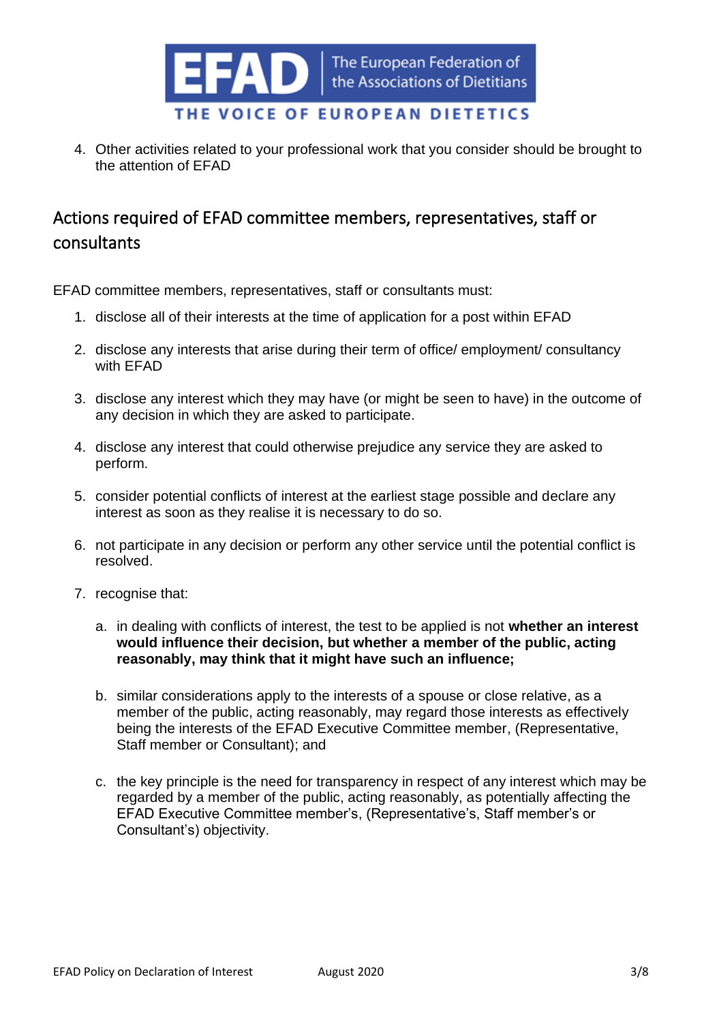

4. Other activities related to your professional work that you consider should be brought to the attention of EFAD

# <span id="page-2-0"></span>Actions required of EFAD committee members, representatives, staff or consultants

EFAD committee members, representatives, staff or consultants must:

- 1. disclose all of their interests at the time of application for a post within EFAD
- 2. disclose any interests that arise during their term of office/ employment/ consultancy with EFAD
- 3. disclose any interest which they may have (or might be seen to have) in the outcome of any decision in which they are asked to participate.
- 4. disclose any interest that could otherwise prejudice any service they are asked to perform.
- 5. consider potential conflicts of interest at the earliest stage possible and declare any interest as soon as they realise it is necessary to do so.
- 6. not participate in any decision or perform any other service until the potential conflict is resolved.
- 7. recognise that:
	- a. in dealing with conflicts of interest, the test to be applied is not **whether an interest would influence their decision, but whether a member of the public, acting reasonably, may think that it might have such an influence;**
	- b. similar considerations apply to the interests of a spouse or close relative, as a member of the public, acting reasonably, may regard those interests as effectively being the interests of the EFAD Executive Committee member, (Representative, Staff member or Consultant); and
	- c. the key principle is the need for transparency in respect of any interest which may be regarded by a member of the public, acting reasonably, as potentially affecting the EFAD Executive Committee member's, (Representative's, Staff member's or Consultant's) objectivity.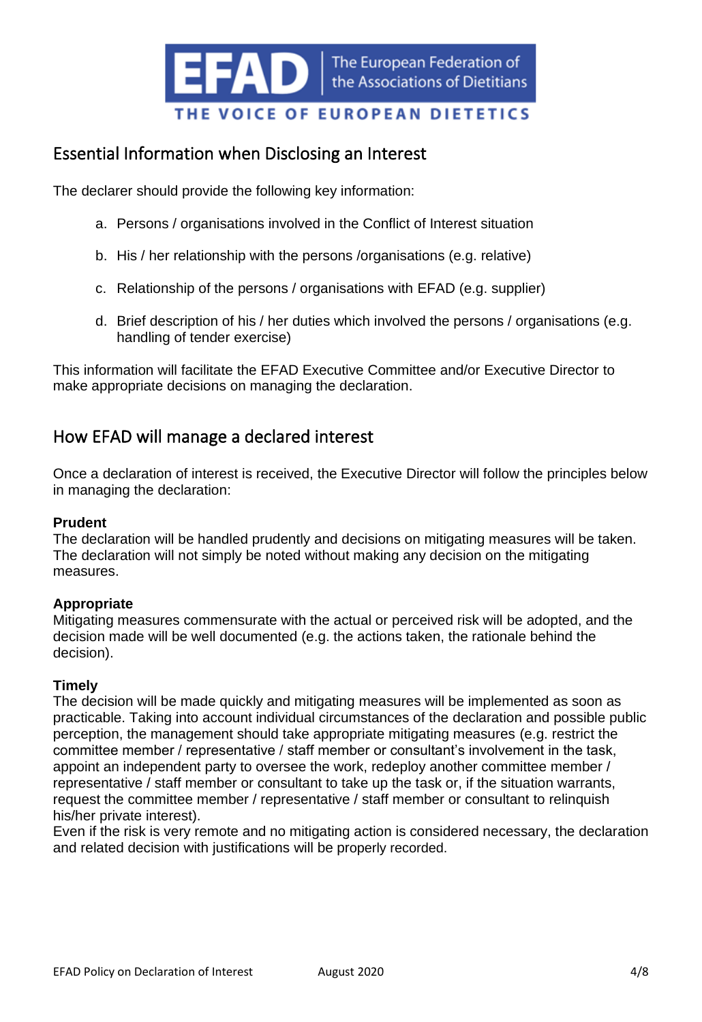

### <span id="page-3-0"></span>Essential Information when Disclosing an Interest

The declarer should provide the following key information:

- a. Persons / organisations involved in the Conflict of Interest situation
- b. His / her relationship with the persons /organisations (e.g. relative)
- c. Relationship of the persons / organisations with EFAD (e.g. supplier)
- d. Brief description of his / her duties which involved the persons / organisations (e.g. handling of tender exercise)

This information will facilitate the EFAD Executive Committee and/or Executive Director to make appropriate decisions on managing the declaration.

### <span id="page-3-1"></span>How EFAD will manage a declared interest

Once a declaration of interest is received, the Executive Director will follow the principles below in managing the declaration:

### **Prudent**

The declaration will be handled prudently and decisions on mitigating measures will be taken. The declaration will not simply be noted without making any decision on the mitigating measures.

### **Appropriate**

Mitigating measures commensurate with the actual or perceived risk will be adopted, and the decision made will be well documented (e.g. the actions taken, the rationale behind the decision).

#### **Timely**

The decision will be made quickly and mitigating measures will be implemented as soon as practicable. Taking into account individual circumstances of the declaration and possible public perception, the management should take appropriate mitigating measures (e.g. restrict the committee member / representative / staff member or consultant's involvement in the task, appoint an independent party to oversee the work, redeploy another committee member / representative / staff member or consultant to take up the task or, if the situation warrants, request the committee member / representative / staff member or consultant to relinquish his/her private interest).

Even if the risk is very remote and no mitigating action is considered necessary, the declaration and related decision with justifications will be properly recorded.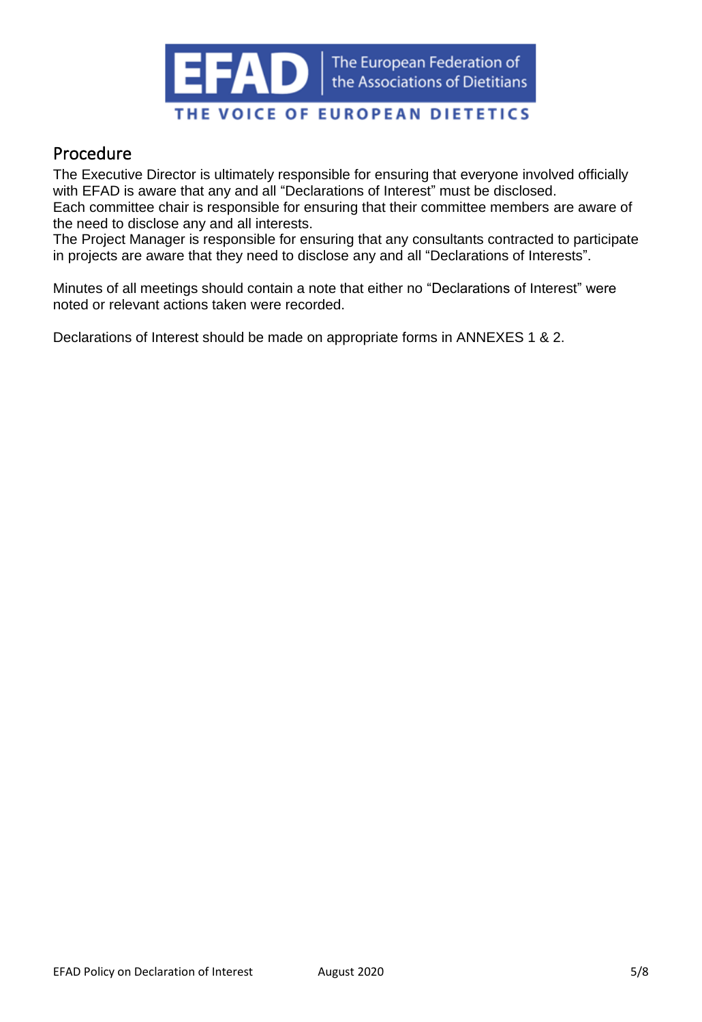

### <span id="page-4-0"></span>Procedure

The Executive Director is ultimately responsible for ensuring that everyone involved officially with EFAD is aware that any and all "Declarations of Interest" must be disclosed. Each committee chair is responsible for ensuring that their committee members are aware of

the need to disclose any and all interests. The Project Manager is responsible for ensuring that any consultants contracted to participate in projects are aware that they need to disclose any and all "Declarations of Interests".

Minutes of all meetings should contain a note that either no "Declarations of Interest" were noted or relevant actions taken were recorded.

Declarations of Interest should be made on appropriate forms in ANNEXES 1 & 2.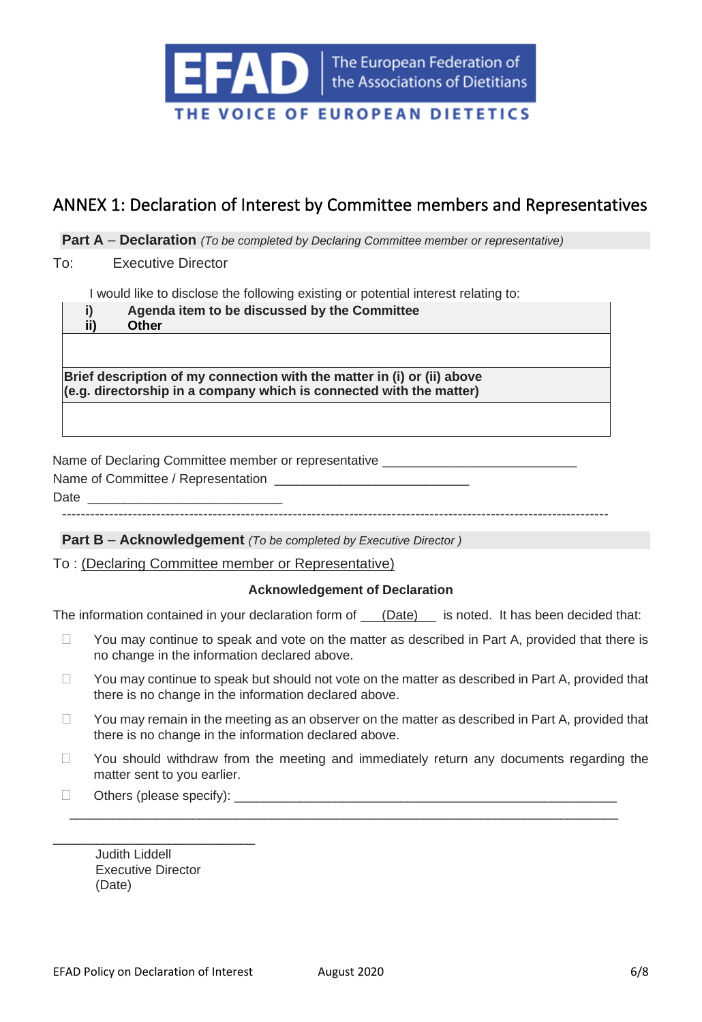

## <span id="page-5-0"></span>ANNEX 1: Declaration of Interest by Committee members and Representatives

**Part A** – **Declaration** *(To be completed by Declaring Committee member or representative)*

To: Executive Director

I would like to disclose the following existing or potential interest relating to:

|                                                                         | Agenda item to be discussed by the Committee                                 |  |
|-------------------------------------------------------------------------|------------------------------------------------------------------------------|--|
| ii)                                                                     | <b>Other</b>                                                                 |  |
|                                                                         |                                                                              |  |
|                                                                         |                                                                              |  |
| Brief description of my connection with the matter in (i) or (ii) above |                                                                              |  |
|                                                                         | $\alpha$ (e.g. directorship in a company which is connected with the matter) |  |
|                                                                         |                                                                              |  |
|                                                                         |                                                                              |  |

Name of Declaring Committee member or representative

Name of Committee / Representation \_

Date

**Part B** – **Acknowledgement** *(To be completed by Executive Director )* 

To : (Declaring Committee member or Representative)

#### **Acknowledgement of Declaration**

The information contained in your declaration form of  $(Date)$  is noted. It has been decided that:

- $\Box$  You may continue to speak and vote on the matter as described in Part A, provided that there is no change in the information declared above.
- $\Box$  You may continue to speak but should not vote on the matter as described in Part A, provided that there is no change in the information declared above.
- $\Box$  You may remain in the meeting as an observer on the matter as described in Part A, provided that there is no change in the information declared above.
- $\Box$  You should withdraw from the meeting and immediately return any documents regarding the matter sent to you earlier.

\_\_\_\_\_\_\_\_\_\_\_\_\_\_\_\_\_\_\_\_\_\_\_\_\_\_\_\_\_\_\_\_\_\_\_\_\_\_\_\_\_\_\_\_\_\_\_\_\_\_\_\_\_\_\_\_\_\_\_\_\_\_\_\_\_\_\_\_\_\_\_\_\_\_\_\_

Others (please specify): \_\_\_\_\_\_\_\_\_\_\_\_\_\_\_\_\_\_\_\_\_\_\_\_\_\_\_\_\_\_\_\_\_\_\_\_\_\_\_\_\_\_\_\_\_\_\_\_\_\_\_\_\_

Judith Liddell Executive Director (Date)

\_\_\_\_\_\_\_\_\_\_\_\_\_\_\_\_\_\_\_\_\_\_\_\_\_\_\_\_